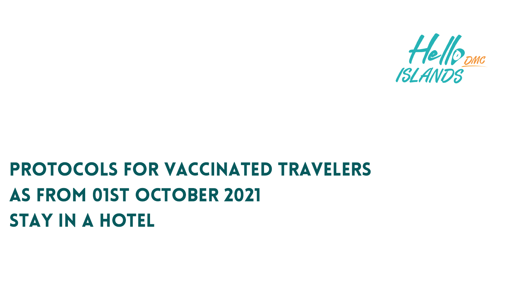# PROTOCOLS for vACCINATED TRAVELERS as from 01st October 2021 STAY IN A HOTEL

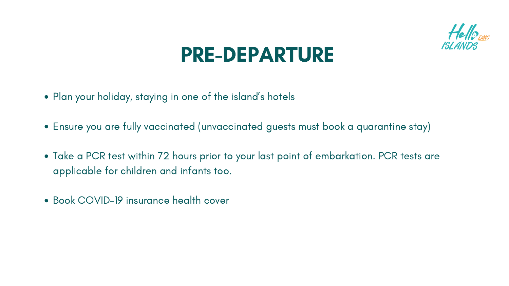- Plan your holiday, staying in one of the island' s hotels
- Ensure you are fully vaccinated (unvaccinated guests must book a quarantine stay)
- Take a PCR test within 72 hours prior to your last point of embarkation. PCR tests are applicable for children and infants too.
- Book COVID-19 insurance health cover





### PRE-DEPARTURE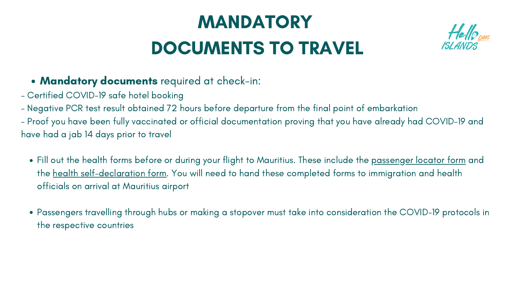### Mandatory documents required at check-in:

# MANDATORY DOCUMENTS TO TRAVEL

- Certified COVID-19 safe hotel booking
- Negative PCR test result obtained 72 hours before departure from the final point of embarkation
- Proof you have been fully vaccinated or official documentation proving that you have already had COVID-19 and have had a jab 14 days prior to travel
	- Fill out the health forms before or during your flight to Mauritius. These include the <u>[passenger](https://mauritiusnow.com/wp-content/uploads/2021/09/Public-Health-Passenger-Locator-Form.pdf) locator form</u> and the health [self-declaration](https://mauritiusnow.com/wp-content/uploads/2021/09/Public-Health-Covid-19-Passenger-Self-Declaration-form-003.pdf) form. You will need to hand these completed forms to immigration and health officials on arrival at Mauritius airport
	- Passengers travelling through hubs or making a stopover must take into consideration the COVID-19 protocols in the respective countries



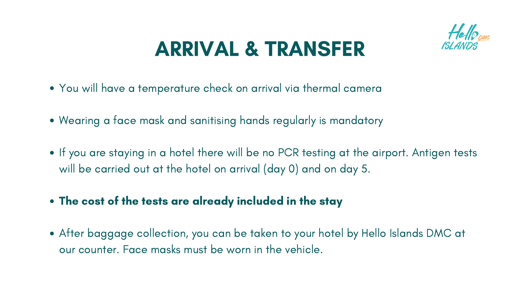- You will have a temperature check on arrival via thermal camera
- Wearing a face mask and sanitising hands regularly is mandatory
- If you are staying in a hotel there will be no PCR testing at the airport. Antigen tests will be carried out at the hotel on arrival (day 0) and on day 5.
- The cost of the tests are already included in the stay
- After baggage collection, you can be taken to your hotel by Hello Islands DMC at our counter. Face masks must be worn in the vehicle.





# ARRIVAL & TRANSFER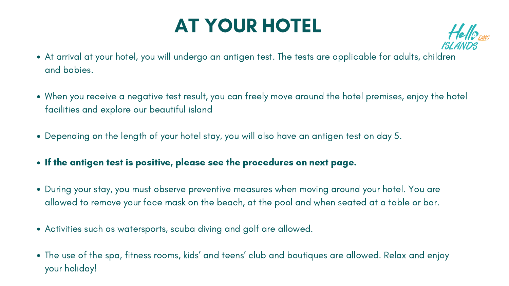- At arrival at your hotel, you will undergo an antigen test. The tests are applicable for adults, children and babies.
- When you receive a negative test result, you can freely move around the hotel premises, enjoy the hotel facilities and explore our beautiful island
- Depending on the length of your hotel stay, you will also have an antigen test on day 5.
- If the antigen test is positive, please see the procedures on next page.
- During your stay, you must observe preventive measures when moving around your hotel. You are allowed to remove your face mask on the beach, at the pool and when seated at a table or bar.
- Activities such as watersports, scuba diving and golf are allowed.
- The use of the spa, fitness rooms, kids' and teens' club and boutiques are allowed. Relax and enjoy your holiday!



## AT YOUR HOTEL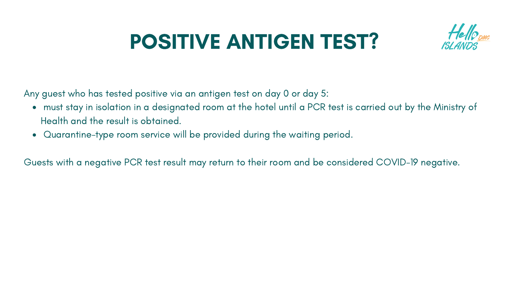- must stay in isolation in a designated room at the hotel until a PCR test is carried out by the Ministry of Health and the result is obtained.
- Quarantine-type room service will be provided during the waiting period.

# POSITIVE ANTIGEN TEST?

Any guest who has tested positive via an antigen test on day 0 or day 5:

Guests with a negative PCR test result may return to their room and be considered COVID-19 negative.



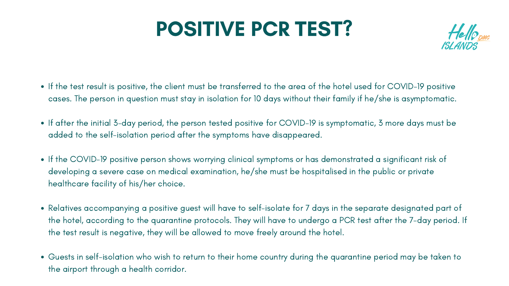# POSITIVE PCR TEST?

- If the test result is positive, the client must be transferred to the area of the hotel used for COVID-19 positive cases. The person in question must stay in isolation for 10 days without their family if he/she is asymptomatic.
- If after the initial 3-day period, the person tested positive for COVID-19 is symptomatic, 3 more days must be added to the self-isolation period after the symptoms have disappeared.
- If the COVID-19 positive person shows worrying clinical symptoms or has demonstrated a significant risk of developing a severe case on medical examination, he/she must be hospitalised in the public or private healthcare facility of his/her choice.
- Relatives accompanying a positive guest will have to self-isolate for 7 days in the separate designated part of the hotel, according to the quarantine protocols. They will have to undergo a PCR test after the 7-day period. If the test result is negative, they will be allowed to move freely around the hotel.
- Guests in self-isolation who wish to return to their home country during the quarantine period may be taken to the airport through a health corridor.



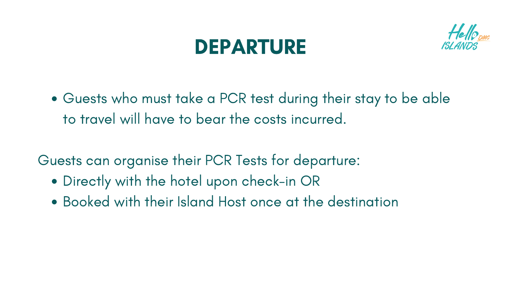Guests who must take a PCR test during their stay to be able to travel will have to bear the costs incurred.

- Directly with the hotel upon check-in OR
- Booked with their Island Host once at the destination



- 
- 

## DEPARTURE

Guests can organise their PCR Tests for departure: